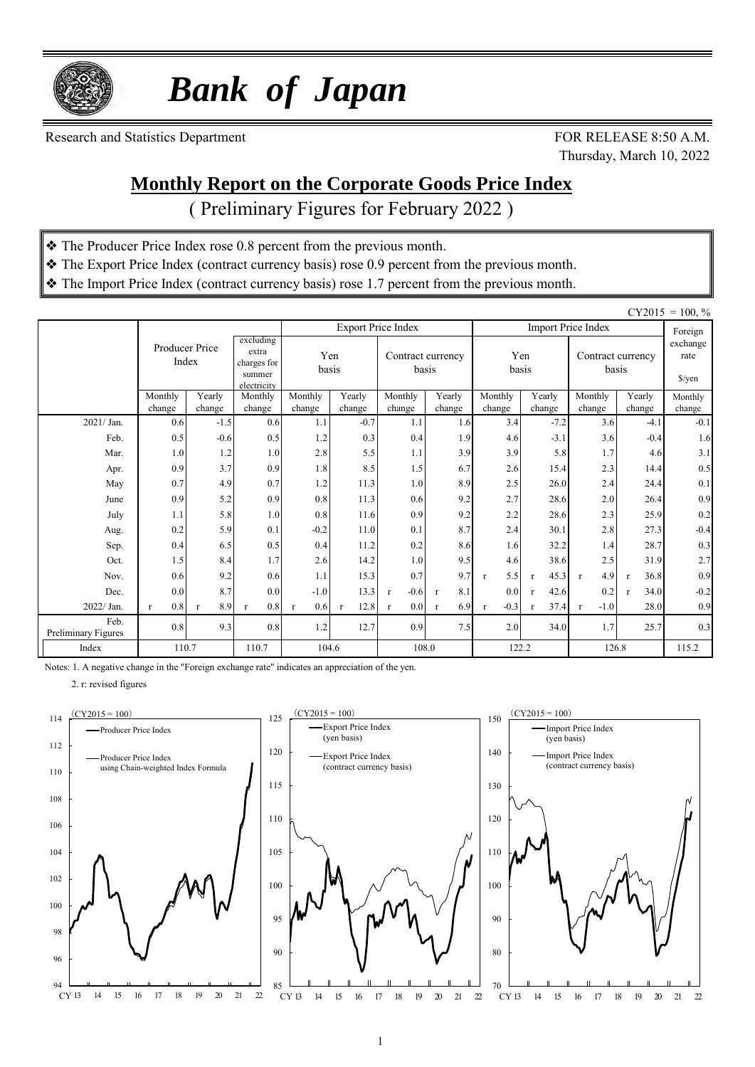

 *Bank of Japan*

Research and Statistics Department FOR RELEASE 8:50 A.M.

Thursday, March 10, 2022

#### **Monthly Report on the Corporate Goods Price Index**

( Preliminary Figures for February 2022 )

- ❖ The Producer Price Index rose 0.8 percent from the previous month.
- ❖ The Export Price Index (contract currency basis) rose 0.9 percent from the previous month.
- ❖ The Import Price Index (contract currency basis) rose 1.7 percent from the previous month.

|                             |                         |                     |                                                            |                     |                      |                            |                     |                        |                      |                            |                            | $CY2015 = 100, \%$ |
|-----------------------------|-------------------------|---------------------|------------------------------------------------------------|---------------------|----------------------|----------------------------|---------------------|------------------------|----------------------|----------------------------|----------------------------|--------------------|
|                             |                         |                     |                                                            |                     |                      | <b>Export Price Index</b>  |                     |                        |                      | <b>Import Price Index</b>  |                            | Foreign            |
|                             | Producer Price<br>Index |                     | excluding<br>extra<br>charges for<br>summer<br>electricity | Yen<br>basis        |                      | Contract currency<br>basis |                     | Yen<br>basis           |                      | Contract currency<br>basis | exchange<br>rate<br>\$/yen |                    |
|                             | Monthly<br>change       | Yearly              | Monthly<br>change                                          | Monthly             | Yearly               | Monthly<br>change          | Yearly              | Monthly                | Yearly<br>change     | Monthly                    | Yearly                     | Monthly            |
| 2021/ Jan.                  | 0.6                     | change<br>$-1.5$    | 0.6                                                        | change<br>1.1       | change<br>$-0.7$     | 1.1                        | change<br>1.6       | change<br>3.4          | $-7.2$               | change<br>3.6              | change<br>$-4.1$           | change<br>$-0.1$   |
| Feb.                        | 0.5                     | $-0.6$              | 0.5                                                        | 1.2                 | 0.3                  | 0.4                        | 1.9                 | 4.6                    | $-3.1$               | 3.6                        | $-0.4$                     | 1.6                |
| Mar.                        | 1.0                     | 1.2                 | 1.0                                                        | 2.8                 | 5.5                  | 1.1                        | 3.9                 | 3.9                    | 5.8                  | 1.7                        | 4.6                        | 3.1                |
| Apr.                        | 0.9                     | 3.7                 | 0.9                                                        | 1.8                 | 8.5                  | 1.5                        | 6.7                 | 2.6                    | 15.4                 | 2.3                        | 14.4                       | 0.5                |
| May                         | 0.7                     | 4.9                 | 0.7                                                        | 1.2                 | 11.3                 | 1.0                        | 8.9                 | 2.5                    | 26.0                 | 2.4                        | 24.4                       | 0.1                |
| June                        | 0.9                     | 5.2                 | 0.9                                                        | 0.8                 | 11.3                 | 0.6                        | 9.2                 | 2.7                    | 28.6                 | 2.0                        | 26.4                       | 0.9                |
| July                        | 1.1                     | 5.8                 | 1.0                                                        | 0.8                 | 11.6                 | 0.9                        | 9.2                 | 2.2                    | 28.6                 | 2.3                        | 25.9                       | 0.2                |
| Aug.                        | 0.2                     | 5.9                 | 0.1                                                        | $-0.2$              | 11.0                 | 0.1                        | 8.7                 | 2.4                    | 30.1                 | 2.8                        | 27.3                       | $-0.4$             |
| Sep.                        | 0.4                     | 6.5                 | 0.5                                                        | 0.4                 | 11.2                 | 0.2                        | 8.6                 | 1.6                    | 32.2                 | 1.4                        | 28.7                       | 0.3                |
| Oct.                        | 1.5                     | 8.4                 | 1.7                                                        | 2.6                 | 14.2                 | 1.0                        | 9.5                 | 4.6                    | 38.6                 | 2.5                        | 31.9                       | 2.7                |
| Nov.                        | 0.6                     | 9.2                 | 0.6                                                        | 1.1                 | 15.3                 | 0.7                        | 9.7                 | 5.5<br>$\mathbf{r}$    | 45.3<br>$\mathbf{r}$ | 4.9<br>$\mathbf{r}$        | 36.8<br>$\mathbf{r}$       | 0.9                |
| Dec.                        | 0.0                     | 8.7                 | 0.0                                                        | $-1.0$              | 13.3                 | $-0.6$<br>$\mathbf{r}$     | 8.1<br>$\mathbf{r}$ | 0.0                    | 42.6<br>$\mathbf{r}$ | 0.2                        | 34.0<br>$\mathbf{r}$       | $-0.2$             |
| 2022/ Jan.                  | 0.8<br>$\mathbf{r}$     | 8.9<br>$\mathbf{r}$ | 0.8<br>$\mathbf{r}$                                        | 0.6<br>$\mathbf{r}$ | 12.8<br>$\mathbf{r}$ | 0.0<br>$\mathbf{r}$        | 6.9<br>$\mathbf{r}$ | $-0.3$<br>$\mathbf{r}$ | 37.4<br>$\mathbf{r}$ | $-1.0$<br>$\mathbf{r}$     | 28.0                       | 0.9                |
| Feb.<br>Preliminary Figures | 0.8                     | 9.3                 | 0.8                                                        | 1.2                 | 12.7                 | 0.9                        | 7.5                 | 2.0                    | 34.0                 | 1.7                        | 25.7                       | 0.3                |
| Index                       | 110.7                   |                     | 110.7                                                      | 104.6               |                      |                            | 108.0               | 122.2                  |                      | 126.8                      |                            | 115.2              |

Notes: 1. A negative change in the "Foreign exchange rate" indicates an appreciation of the yen.

2. r: revised figures



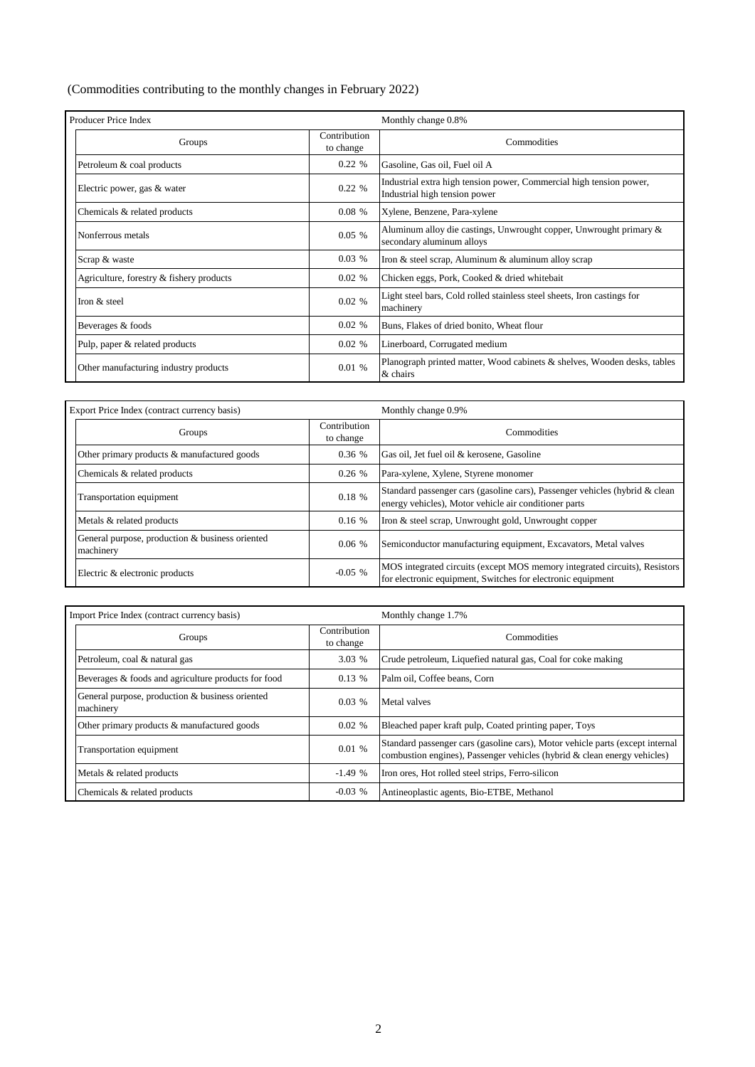(Commodities contributing to the monthly changes in February 2022)

| Producer Price Index                     |                           | Monthly change 0.8%                                                                                  |  |  |  |  |  |
|------------------------------------------|---------------------------|------------------------------------------------------------------------------------------------------|--|--|--|--|--|
| Groups                                   | Contribution<br>to change | Commodities                                                                                          |  |  |  |  |  |
| Petroleum & coal products                | 0.22%                     | Gasoline, Gas oil, Fuel oil A                                                                        |  |  |  |  |  |
| Electric power, gas & water              | 0.22%                     | Industrial extra high tension power, Commercial high tension power,<br>Industrial high tension power |  |  |  |  |  |
| Chemicals & related products             | 0.08%                     | Xylene, Benzene, Para-xylene                                                                         |  |  |  |  |  |
| Nonferrous metals                        | 0.05%                     | Aluminum alloy die castings, Unwrought copper, Unwrought primary &<br>secondary aluminum alloys      |  |  |  |  |  |
| Scrap & waste                            | 0.03%                     | Iron & steel scrap, Aluminum & aluminum alloy scrap                                                  |  |  |  |  |  |
| Agriculture, forestry & fishery products | $0.02\%$                  | Chicken eggs, Pork, Cooked & dried whitebait                                                         |  |  |  |  |  |
| Iron & steel                             | 0.02%                     | Light steel bars, Cold rolled stainless steel sheets, Iron castings for<br>machinery                 |  |  |  |  |  |
| Beverages & foods                        | 0.02 %                    | Buns, Flakes of dried bonito, Wheat flour                                                            |  |  |  |  |  |
| Pulp, paper & related products           | $0.02\%$                  | Linerboard, Corrugated medium                                                                        |  |  |  |  |  |
| Other manufacturing industry products    | 0.01%                     | Planograph printed matter, Wood cabinets & shelves, Wooden desks, tables<br>& chairs                 |  |  |  |  |  |

| Export Price Index (contract currency basis)                 |                           | Monthly change 0.9%                                                                                                                       |  |  |  |  |
|--------------------------------------------------------------|---------------------------|-------------------------------------------------------------------------------------------------------------------------------------------|--|--|--|--|
| Groups                                                       | Contribution<br>to change | Commodities                                                                                                                               |  |  |  |  |
| Other primary products & manufactured goods                  | 0.36%                     | Gas oil, Jet fuel oil & kerosene, Gasoline                                                                                                |  |  |  |  |
| Chemicals & related products                                 | 0.26%                     | Para-xylene, Xylene, Styrene monomer                                                                                                      |  |  |  |  |
| Transportation equipment                                     | 0.18 %                    | Standard passenger cars (gasoline cars), Passenger vehicles (hybrid & clean<br>energy vehicles), Motor vehicle air conditioner parts      |  |  |  |  |
| Metals & related products                                    | 0.16%                     | Iron & steel scrap, Unwrought gold, Unwrought copper                                                                                      |  |  |  |  |
| General purpose, production & business oriented<br>machinery | 0.06%                     | Semiconductor manufacturing equipment, Excavators, Metal valves                                                                           |  |  |  |  |
| Electric & electronic products                               | $-0.05$ %                 | MOS integrated circuits (except MOS memory integrated circuits), Resistors<br>for electronic equipment, Switches for electronic equipment |  |  |  |  |

| Import Price Index (contract currency basis)                 |                           | Monthly change 1.7%                                                                                                                                       |  |  |  |  |
|--------------------------------------------------------------|---------------------------|-----------------------------------------------------------------------------------------------------------------------------------------------------------|--|--|--|--|
| Groups                                                       | Contribution<br>to change | Commodities                                                                                                                                               |  |  |  |  |
| Petroleum, coal & natural gas                                | 3.03 %                    | Crude petroleum, Liquefied natural gas, Coal for coke making                                                                                              |  |  |  |  |
| Beverages & foods and agriculture products for food          | 0.13%                     | Palm oil, Coffee beans, Corn                                                                                                                              |  |  |  |  |
| General purpose, production & business oriented<br>machinery | 0.03%                     | Metal valves                                                                                                                                              |  |  |  |  |
| Other primary products & manufactured goods                  | 0.02%                     | Bleached paper kraft pulp, Coated printing paper, Toys                                                                                                    |  |  |  |  |
| Transportation equipment                                     | 0.01%                     | Standard passenger cars (gasoline cars), Motor vehicle parts (except internal<br>combustion engines), Passenger vehicles (hybrid & clean energy vehicles) |  |  |  |  |
| Metals & related products                                    | $-1.49%$                  | Iron ores, Hot rolled steel strips, Ferro-silicon                                                                                                         |  |  |  |  |
| Chemicals & related products                                 | $-0.03$ %                 | Antineoplastic agents, Bio-ETBE, Methanol                                                                                                                 |  |  |  |  |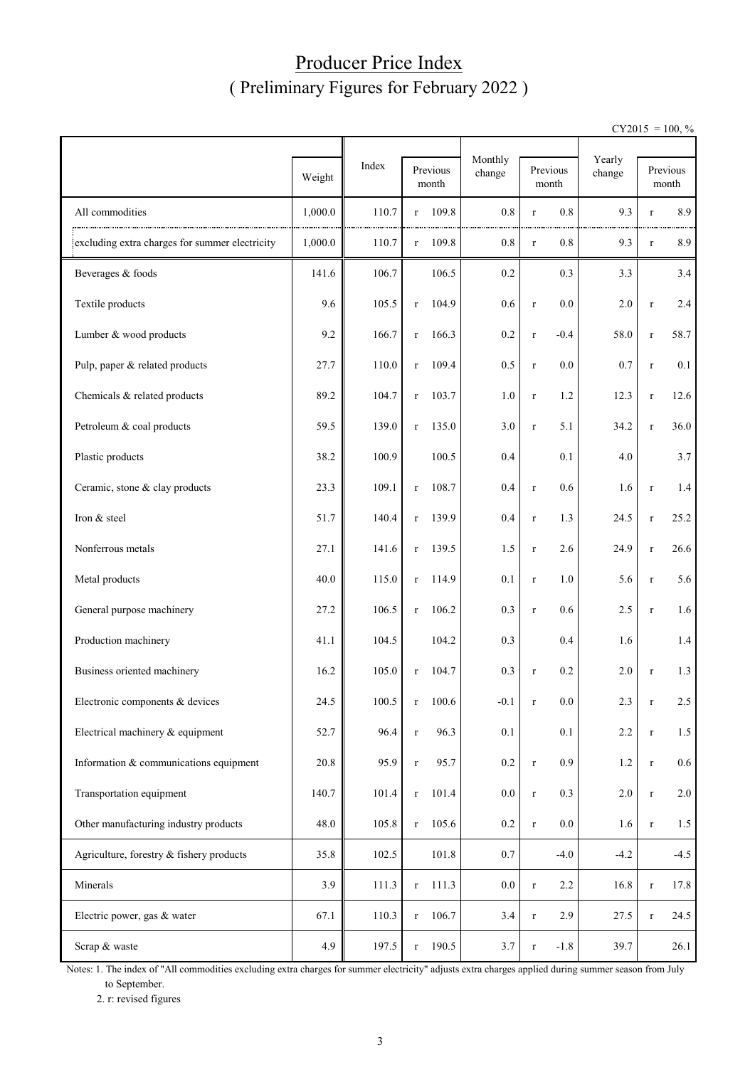### Producer Price Index ( Preliminary Figures for February 2022 )

 $CY2015 = 100, \%$ 

|                                                |         |       | Monthly               |         |                            |                  |             |                   |
|------------------------------------------------|---------|-------|-----------------------|---------|----------------------------|------------------|-------------|-------------------|
|                                                | Weight  | Index | Previous<br>month     | change  | Previous<br>$\mbox{month}$ | Yearly<br>change |             | Previous<br>month |
| All commodities                                | 1,000.0 | 110.7 | 109.8<br>$\mathbf{r}$ | $0.8\,$ | 0.8<br>$\bf r$             | 9.3              | $\bf r$     | 8.9               |
| excluding extra charges for summer electricity | 1,000.0 | 110.7 | 109.8<br>$\mathbf{r}$ | 0.8     | 0.8<br>$\bf r$             | 9.3              | $\bf r$     | 8.9               |
| Beverages & foods                              | 141.6   | 106.7 | 106.5                 | 0.2     | 0.3                        | 3.3              |             | 3.4               |
| Textile products                               | 9.6     | 105.5 | 104.9<br>$\bf r$      | 0.6     | 0.0<br>$\bf r$             | 2.0              | $\bf r$     | 2.4               |
| Lumber & wood products                         | 9.2     | 166.7 | 166.3<br>$\bf r$      | 0.2     | $-0.4$<br>$\bf r$          | 58.0             | $\bf r$     | 58.7              |
| Pulp, paper & related products                 | 27.7    | 110.0 | 109.4<br>$\bf r$      | 0.5     | 0.0<br>$\bf r$             | 0.7              | $\bf r$     | 0.1               |
| Chemicals & related products                   | 89.2    | 104.7 | 103.7<br>$\bf r$      | 1.0     | 1.2<br>$\bf r$             | 12.3             | $\bf r$     | 12.6              |
| Petroleum & coal products                      | 59.5    | 139.0 | 135.0<br>$\bf r$      | 3.0     | 5.1<br>$\bf r$             | 34.2             | $\bf r$     | 36.0              |
| Plastic products                               | 38.2    | 100.9 | 100.5                 | 0.4     | 0.1                        | 4.0              |             | 3.7               |
| Ceramic, stone & clay products                 | 23.3    | 109.1 | 108.7<br>$\bf r$      | 0.4     | 0.6<br>$\bf r$             | 1.6              | $\bf r$     | 1.4               |
| Iron & steel                                   | 51.7    | 140.4 | 139.9<br>r            | 0.4     | 1.3<br>$\bf r$             | 24.5             | $\bf r$     | 25.2              |
| Nonferrous metals                              | 27.1    | 141.6 | 139.5<br>r            | 1.5     | 2.6<br>$\bf r$             | 24.9             | $\bf r$     | 26.6              |
| Metal products                                 | 40.0    | 115.0 | 114.9<br>$\mathbf{r}$ | 0.1     | 1.0<br>$\bf r$             | 5.6              | $\bf r$     | 5.6               |
| General purpose machinery                      | 27.2    | 106.5 | 106.2<br>$\bf r$      | 0.3     | 0.6<br>$\bf r$             | 2.5              | $\bf r$     | 1.6               |
| Production machinery                           | 41.1    | 104.5 | 104.2                 | 0.3     | 0.4                        | 1.6              |             | 1.4               |
| Business oriented machinery                    | 16.2    | 105.0 | 104.7<br>$\bf r$      | 0.3     | 0.2<br>$\bf r$             | 2.0              | $\bf r$     | 1.3               |
| Electronic components & devices                | 24.5    | 100.5 | $r = 100.6$           | $-0.1$  | $0.0\,$                    | 2.3              |             | $2.5\,$           |
| Electrical machinery & equipment               | 52.7    | 96.4  | 96.3<br>$\mathbf r$   | 0.1     | 0.1                        | 2.2              | $\bf r$     | 1.5               |
| Information & communications equipment         | 20.8    | 95.9  | 95.7<br>$\bf r$       | $0.2\,$ | 0.9<br>$\bf r$             | 1.2              | $\mathbf r$ | $0.6\,$           |
| Transportation equipment                       | 140.7   | 101.4 | 101.4<br>$\bf r$      | $0.0\,$ | 0.3<br>$\bf r$             | $2.0\,$          | $\mathbf r$ | 2.0               |
| Other manufacturing industry products          | 48.0    | 105.8 | 105.6<br>$\bf r$      | $0.2\,$ | $0.0\,$<br>$\bf r$         | 1.6              | $\mathbf r$ | 1.5               |
| Agriculture, forestry & fishery products       | 35.8    | 102.5 | $101.8\,$             | 0.7     | $-4.0$                     | $-4.2$           |             | $-4.5$            |
| Minerals                                       | 3.9     | 111.3 | 111.3<br>$\bf r$      | $0.0\,$ | 2.2<br>$\bf r$             | 16.8             | $\bf r$     | 17.8              |
| Electric power, gas & water                    | 67.1    | 110.3 | 106.7<br>$\bf r$      | 3.4     | 2.9<br>$\bf r$             | 27.5             | $\bf r$     | 24.5              |
| Scrap & waste                                  | 4.9     | 197.5 | 190.5<br>$\bf r$      | 3.7     | $-1.8$<br>$\bf r$          | 39.7             |             | 26.1              |

Notes: 1. The index of "All commodities excluding extra charges for summer electricity" adjusts extra charges applied during summer season from July to September.

2. r: revised figures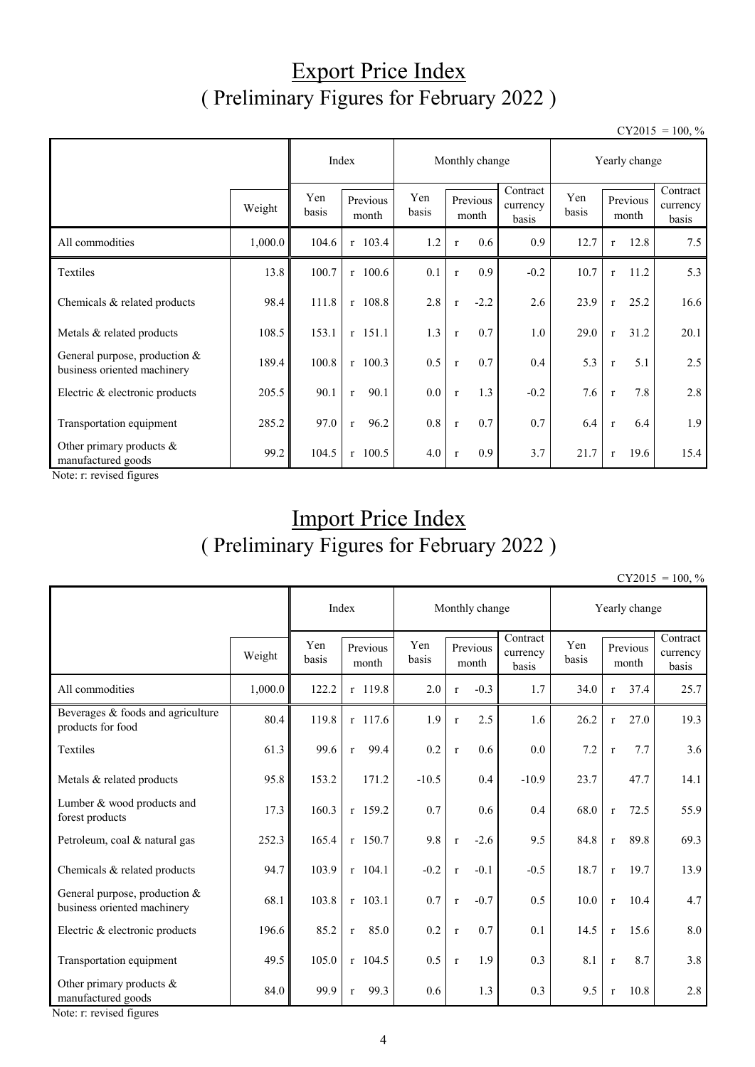## Export Price Index ( Preliminary Figures for February 2022 )

 $CY2015 = 100, \%$ 

|                                                                |         | Index        |                      | Monthly change |                   |        |                               | Yearly change |                   |      |                               |
|----------------------------------------------------------------|---------|--------------|----------------------|----------------|-------------------|--------|-------------------------------|---------------|-------------------|------|-------------------------------|
|                                                                | Weight  | Yen<br>basis | Previous<br>month    | Yen<br>basis   | Previous<br>month |        | Contract<br>currency<br>basis | Yen<br>basis  | Previous<br>month |      | Contract<br>currency<br>basis |
| All commodities                                                | 1,000.0 | 104.6        | r 103.4              | 1.2            | $\mathbf{r}$      | 0.6    | 0.9                           | 12.7          | $\mathbf r$       | 12.8 | 7.5                           |
| Textiles                                                       | 13.8    | 100.7        | $r$ 100.6            | 0.1            | $\mathbf{r}$      | 0.9    | $-0.2$                        | 10.7          | $\mathbf{r}$      | 11.2 | 5.3                           |
| Chemicals & related products                                   | 98.4    | 111.8        | $r$ 108.8            | 2.8            | $\mathbf{r}$      | $-2.2$ | 2.6                           | 23.9          | $\mathbf{r}$      | 25.2 | 16.6                          |
| Metals & related products                                      | 108.5   | 153.1        | $r$ 151.1            | 1.3            | $\mathbf r$       | 0.7    | 1.0                           | 29.0          | $\mathbf{r}$      | 31.2 | 20.1                          |
| General purpose, production $&$<br>business oriented machinery | 189.4   | 100.8        | $r$ 100.3            | 0.5            | $\mathbf{r}$      | 0.7    | 0.4                           | 5.3           | $\mathbf{r}$      | 5.1  | 2.5                           |
| Electric & electronic products                                 | 205.5   | 90.1         | 90.1<br>$\mathbf{r}$ | 0.0            | $\mathbf r$       | 1.3    | $-0.2$                        | 7.6           | $\mathbf{r}$      | 7.8  | 2.8                           |
| Transportation equipment                                       | 285.2   | 97.0         | 96.2<br>$\mathbf{r}$ | 0.8            | $\mathbf r$       | 0.7    | 0.7                           | 6.4           | $\mathbf r$       | 6.4  | 1.9                           |
| Other primary products &<br>manufactured goods                 | 99.2    | 104.5        | $r$ 100.5            | 4.0            | $\mathbf{r}$      | 0.9    | 3.7                           | 21.7          | $\mathbf{r}$      | 19.6 | 15.4                          |

Note: r: revised figures

# Import Price Index ( Preliminary Figures for February 2022 )

 $CY2015 = 100, \%$ 

|                                                              | Index   |              | Monthly change       |              |                   |        | Yearly change                 |              |              |                   |                               |
|--------------------------------------------------------------|---------|--------------|----------------------|--------------|-------------------|--------|-------------------------------|--------------|--------------|-------------------|-------------------------------|
|                                                              | Weight  | Yen<br>basis | Previous<br>month    | Yen<br>basis | Previous<br>month |        | Contract<br>currency<br>basis | Yen<br>basis |              | Previous<br>month | Contract<br>currency<br>basis |
| All commodities                                              | 1,000.0 | 122.2        | r 119.8              | 2.0          | $\mathbf r$       | $-0.3$ | 1.7                           | 34.0         | $\mathbf{r}$ | 37.4              | 25.7                          |
| Beverages & foods and agriculture<br>products for food       | 80.4    | 119.8        | $r$ 117.6            | 1.9          | $\mathbf{r}$      | 2.5    | 1.6                           | 26.2         | $\mathbf{r}$ | 27.0              | 19.3                          |
| Textiles                                                     | 61.3    | 99.6         | 99.4<br>$\mathbf{r}$ | 0.2          | $\mathbf r$       | 0.6    | 0.0                           | 7.2          | $\mathbf{r}$ | 7.7               | 3.6                           |
| Metals & related products                                    | 95.8    | 153.2        | 171.2                | $-10.5$      |                   | 0.4    | $-10.9$                       | 23.7         |              | 47.7              | 14.1                          |
| Lumber & wood products and<br>forest products                | 17.3    | 160.3        | $r$ 159.2            | 0.7          |                   | 0.6    | 0.4                           | 68.0         | $\mathbf{r}$ | 72.5              | 55.9                          |
| Petroleum, coal & natural gas                                | 252.3   | 165.4        | $r$ 150.7            | 9.8          | $\mathbf r$       | $-2.6$ | 9.5                           | 84.8         | $\mathbf{r}$ | 89.8              | 69.3                          |
| Chemicals & related products                                 | 94.7    | 103.9        | $r$ 104.1            | $-0.2$       | $\mathbf{r}$      | $-0.1$ | $-0.5$                        | 18.7         | $\mathbf{r}$ | 19.7              | 13.9                          |
| General purpose, production &<br>business oriented machinery | 68.1    | 103.8        | $r$ 103.1            | 0.7          | $\mathbf r$       | $-0.7$ | 0.5                           | 10.0         | $\mathbf{r}$ | 10.4              | 4.7                           |
| Electric & electronic products                               | 196.6   | 85.2         | 85.0<br>$\mathbf{r}$ | 0.2          | $\mathbf r$       | 0.7    | 0.1                           | 14.5         | $\mathbf{r}$ | 15.6              | 8.0                           |
| Transportation equipment                                     | 49.5    | 105.0        | $r$ 104.5            | 0.5          | $\mathbf{r}$      | 1.9    | 0.3                           | 8.1          | $\mathbf{r}$ | 8.7               | 3.8                           |
| Other primary products &<br>manufactured goods               | 84.0    | 99.9         | 99.3<br>$\mathbf{r}$ | 0.6          |                   | 1.3    | 0.3                           | 9.5          | $\mathbf{r}$ | 10.8              | 2.8                           |

Note: r: revised figures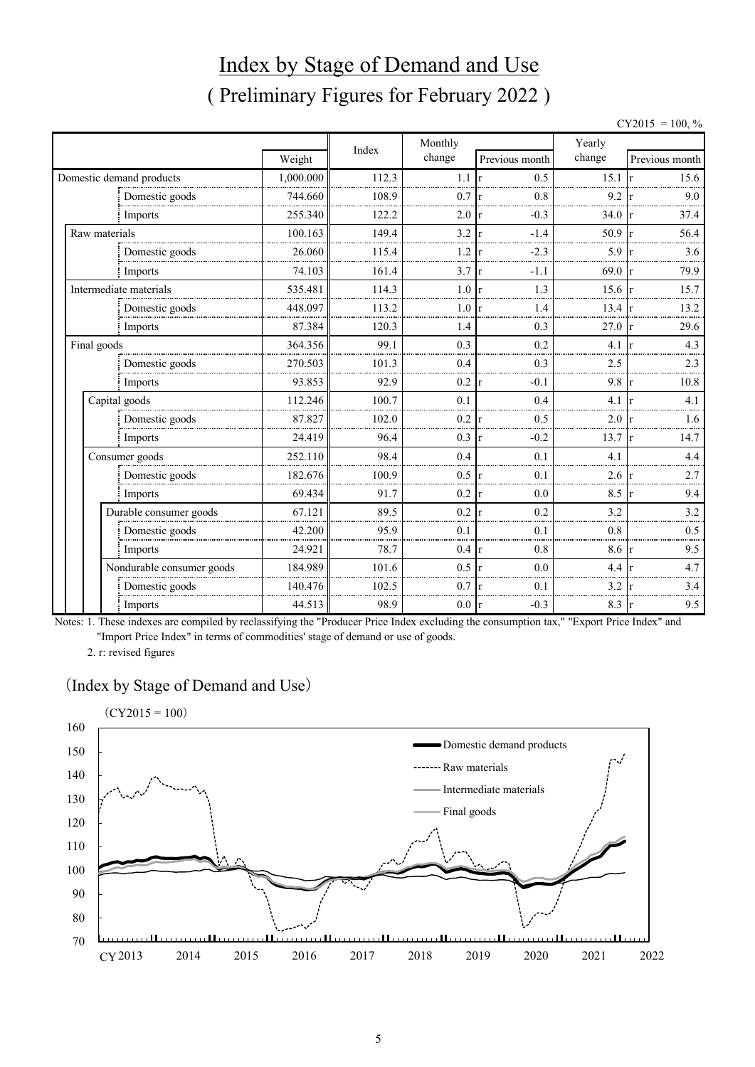# Index by Stage of Demand and Use ( Preliminary Figures for February 2022 )

|             |                           |           |       |         |                     |                  | $CY2015 = 100, \%$ |
|-------------|---------------------------|-----------|-------|---------|---------------------|------------------|--------------------|
|             |                           |           | Index | Monthly |                     | Yearly           |                    |
|             |                           | Weight    |       | change  | Previous month      | change           | Previous month     |
|             | Domestic demand products  | 1,000.000 | 112.3 | 1.1     | 0.5<br>r            | 15.1             | 15.6               |
|             | Domestic goods            | 744.660   | 108.9 | 0.7     | 0.8                 | 9.2              | 9.0                |
|             | Imports                   | 255.340   | 122.2 | 2.0     | $-0.3$              | 34.0             | 37.4               |
|             | Raw materials             | 100.163   | 149.4 | 3.2     | $-1.4$              | 50.9             | 56.4               |
|             | Domestic goods            | 26.060    | 115.4 | 1.2     | $-2.3$<br>r         | 5.9              | 3.6<br>1r          |
|             | Imports                   | 74.103    | 161.4 | 3.7     | $-1.1$              | 69.0             | 79.9<br>1r         |
|             | Intermediate materials    | 535.481   | 114.3 | 1.0     | 1.3                 | $15.6 \text{ r}$ | 15.7               |
|             | Domestic goods            | 448.097   | 113.2 | 1.0     | 1.4                 | 13.4             | 13.2               |
|             | Imports                   | 87.384    | 120.3 | 1.4     | 0.3                 | 27.0             | 29.6               |
| Final goods |                           | 364.356   | 99.1  | 0.3     | 0.2                 | 4.1              | 4.3                |
|             | Domestic goods            | 270.503   | 101.3 | 0.4     | 0.3                 | 2.5              | 2.3                |
|             | Imports                   | 93.853    | 92.9  | 0.2     | $-0.1$<br>r         | 9.8              | 10.8<br>1r         |
|             | Capital goods             | 112.246   | 100.7 | 0.1     | 0.4                 | 4.1              | 4.1                |
|             | Domestic goods            | 87.827    | 102.0 | 0.2     | 0.5                 | 2.0              | 1.6                |
|             | Imports                   | 24.419    | 96.4  | 0.3     | $-0.2$              | 13.7             | 14.7               |
|             | Consumer goods            | 252.110   | 98.4  | 0.4     | 0.1                 | 4.1              | 4.4                |
|             | Domestic goods            | 182.676   | 100.9 | 0.5     | 0.1<br>r            | 2.6              | 2.7<br>-l r        |
|             | Imports                   | 69.434    | 91.7  | 0.2     | 0.0<br>$\mathbf{r}$ | 8.5              | 9.4                |
|             | Durable consumer goods    | 67.121    | 89.5  | 0.2     | 0.2                 | 3.2              | 3.2                |
|             | Domestic goods            | 42.200    | 95.9  | 0.1     | 0.1                 | 0.8              | 0.5                |
|             | Imports                   | 24.921    | 78.7  | 0.4     | 0.8<br>r            | 8.6              | 9.5<br>-lr         |
|             | Nondurable consumer goods | 184.989   | 101.6 | 0.5     | 0.0<br>$\mathbf{r}$ | 4.4              | 4.7                |
|             | Domestic goods            | 140.476   | 102.5 | 0.7     | 0.1                 | 3.2              | 3.4                |
|             | Imports                   | 44.513    | 98.9  | $0.0\,$ | $-0.3$<br>r         | 8.3              | 9.5<br>r           |

Notes: 1. These indexes are compiled by reclassifying the "Producer Price Index excluding the consumption tax," "Export Price Index" and "Import Price Index" in terms of commodities' stage of demand or use of goods.

2. r: revised figures

#### (Index by Stage of Demand and Use)

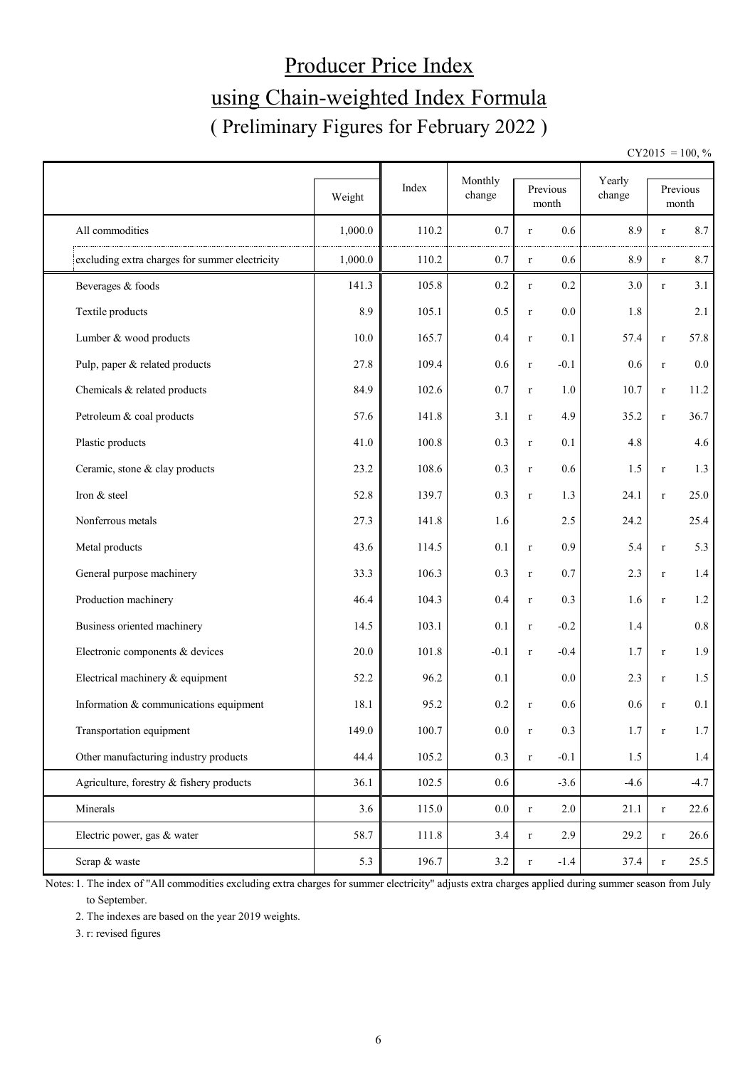# Producer Price Index using Chain-weighted Index Formula ( Preliminary Figures for February 2022 )

 $CY2015 = 100, \%$ 

|                                                |         |       | Monthly |                       | Yearly |              |                   |
|------------------------------------------------|---------|-------|---------|-----------------------|--------|--------------|-------------------|
|                                                | Weight  | Index | change  | Previous<br>month     | change |              | Previous<br>month |
| All commodities                                | 1,000.0 | 110.2 | 0.7     | 0.6<br>$\mathbf r$    | 8.9    | r            | 8.7               |
| excluding extra charges for summer electricity | 1,000.0 | 110.2 | 0.7     | 0.6<br>$\bf r$        | 8.9    | $\bf r$      | 8.7               |
| Beverages & foods                              | 141.3   | 105.8 | 0.2     | 0.2<br>$\mathbf r$    | 3.0    | $\bf r$      | 3.1               |
| Textile products                               | 8.9     | 105.1 | 0.5     | 0.0<br>$\mathbf r$    | 1.8    |              | 2.1               |
| Lumber & wood products                         | 10.0    | 165.7 | 0.4     | 0.1<br>$\mathbf r$    | 57.4   | $\bf r$      | 57.8              |
| Pulp, paper & related products                 | 27.8    | 109.4 | 0.6     | $-0.1$<br>$\mathbf r$ | 0.6    | $\bf r$      | $0.0\,$           |
| Chemicals & related products                   | 84.9    | 102.6 | 0.7     | 1.0<br>$\mathbf r$    | 10.7   | $\bf r$      | 11.2              |
| Petroleum & coal products                      | 57.6    | 141.8 | 3.1     | 4.9<br>$\bf r$        | 35.2   | $\bf r$      | 36.7              |
| Plastic products                               | 41.0    | 100.8 | 0.3     | 0.1<br>$\mathbf r$    | 4.8    |              | 4.6               |
| Ceramic, stone & clay products                 | 23.2    | 108.6 | 0.3     | 0.6<br>$\mathbf r$    | 1.5    | $\bf r$      | 1.3               |
| Iron & steel                                   | 52.8    | 139.7 | 0.3     | 1.3<br>$\bf r$        | 24.1   | $\bf r$      | 25.0              |
| Nonferrous metals                              | 27.3    | 141.8 | 1.6     | 2.5                   | 24.2   |              | 25.4              |
| Metal products                                 | 43.6    | 114.5 | 0.1     | 0.9<br>$\bf r$        | 5.4    | $\bf r$      | 5.3               |
| General purpose machinery                      | 33.3    | 106.3 | 0.3     | 0.7<br>$\mathbf r$    | 2.3    | $\bf r$      | 1.4               |
| Production machinery                           | 46.4    | 104.3 | 0.4     | 0.3<br>$\mathbf r$    | 1.6    | $\bf r$      | 1.2               |
| Business oriented machinery                    | 14.5    | 103.1 | 0.1     | $-0.2$<br>$\mathbf r$ | 1.4    |              | $0.8\,$           |
| Electronic components & devices                | 20.0    | 101.8 | $-0.1$  | $-0.4$<br>$\mathbf r$ | 1.7    | $\bf r$      | 1.9               |
| Electrical machinery & equipment               | 52.2    | 96.2  | 0.1     | 0.0                   | 2.3    | $\bf r$      | 1.5               |
| Information & communications equipment         | 18.1    | 95.2  | 0.2     | 0.6<br>$\bf r$        | 0.6    | $\mathbf{r}$ | 0.1               |
| Transportation equipment                       | 149.0   | 100.7 | $0.0\,$ | 0.3<br>$\mathbf r$    | 1.7    | $\bf r$      | 1.7               |
| Other manufacturing industry products          | 44.4    | 105.2 | 0.3     | $-0.1$<br>$\mathbf r$ | 1.5    |              | $1.4\,$           |
| Agriculture, forestry & fishery products       | 36.1    | 102.5 | $0.6\,$ | $-3.6$                | $-4.6$ |              | $-4.7$            |
| Minerals                                       | 3.6     | 115.0 | $0.0\,$ | 2.0<br>$\mathbf r$    | 21.1   | $\bf r$      | 22.6              |
| Electric power, gas & water                    | 58.7    | 111.8 | 3.4     | 2.9<br>$\bf r$        | 29.2   | $\bf r$      | 26.6              |
| Scrap & waste                                  | 5.3     | 196.7 | 3.2     | $-1.4$<br>$\mathbf r$ | 37.4   | $\bf r$      | 25.5              |

Notes: 1. The index of "All commodities excluding extra charges for summer electricity" adjusts extra charges applied during summer season from July to September.

2. The indexes are based on the year 2019 weights.

3. r: revised figures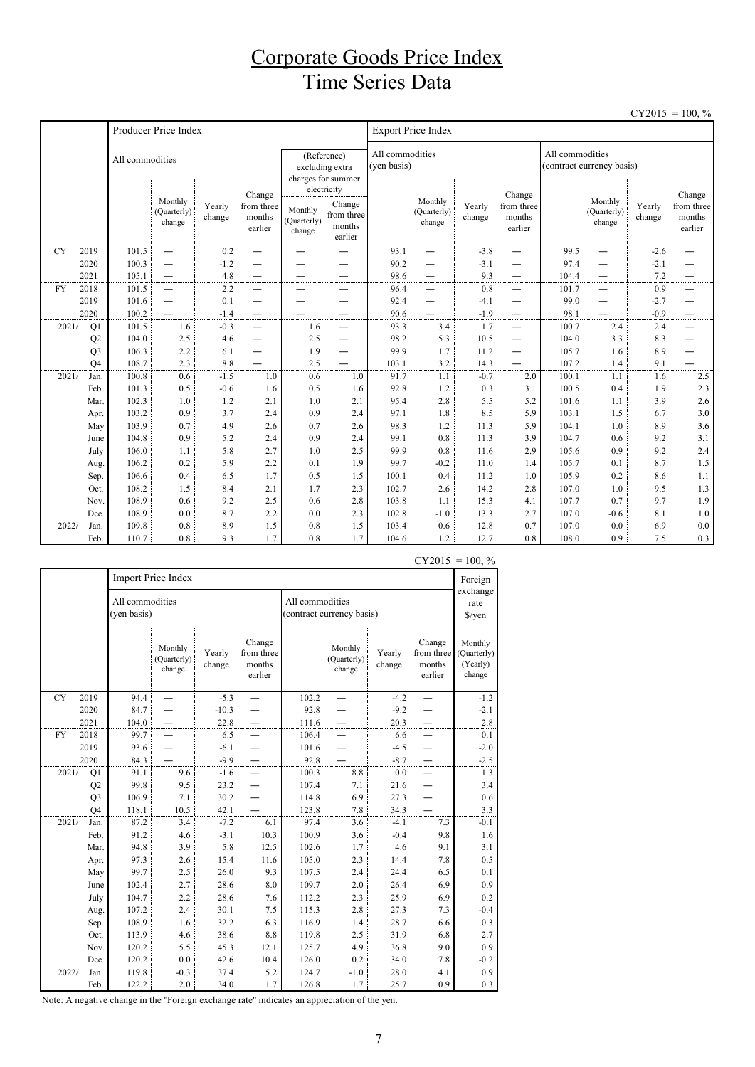## Corporate Goods Price Index Time Series Data

|           |                |                 |                                                      |                  |                                           |                                  |                                                          |                                |                                  |                  |                                           |                 |                                  |                  | $CY2015 = 100, \%$                        |
|-----------|----------------|-----------------|------------------------------------------------------|------------------|-------------------------------------------|----------------------------------|----------------------------------------------------------|--------------------------------|----------------------------------|------------------|-------------------------------------------|-----------------|----------------------------------|------------------|-------------------------------------------|
|           |                |                 | Producer Price Index                                 |                  |                                           |                                  |                                                          |                                | <b>Export Price Index</b>        |                  |                                           |                 |                                  |                  |                                           |
|           |                | All commodities |                                                      |                  |                                           |                                  | (Reference)<br>excluding extra<br>charges for summer     | All commodities<br>(yen basis) |                                  |                  |                                           | All commodities | (contract currency basis)        |                  |                                           |
|           |                |                 | Monthly<br>(Quarterly)<br>change                     | Yearly<br>change | Change<br>from three<br>months<br>earlier | Monthly<br>(Quarterly)<br>change | electricity<br>Change<br>from three<br>months<br>earlier |                                | Monthly<br>(Quarterly)<br>change | Yearly<br>change | Change<br>from three<br>months<br>earlier |                 | Monthly<br>(Quarterly)<br>change | Yearly<br>change | Change<br>from three<br>months<br>earlier |
| <b>CY</b> | 2019           | 101.5           | $\overline{\phantom{0}}$                             | 0.2              | $\overline{\phantom{0}}$                  |                                  |                                                          | 93.1                           | $\overline{\phantom{0}}$         | $-3.8$           | —                                         | 99.5            | $\overline{\phantom{0}}$         | $-2.6$           |                                           |
|           | 2020           | 100.3           | $\overline{\phantom{0}}$                             | $-1.2$           |                                           |                                  |                                                          | 90.2                           | $\overline{\phantom{0}}$         | $-3.1$           | $\overline{\phantom{0}}$                  | 97.4            | $\overline{\phantom{0}}$         | $-2.1$           |                                           |
|           | 2021           | 105.1           | $\overline{\phantom{0}}$                             | 4.8              |                                           |                                  |                                                          | 98.6                           | $\overline{\phantom{0}}$         | 9.3              | —                                         | 104.4           | $\overline{\phantom{0}}$         | 7.2              |                                           |
| <b>FY</b> | 2018           | 101.5           | $\overline{\phantom{0}}$                             | 2.2              |                                           | —                                |                                                          | 96.4                           | -                                | 0.8              | —                                         | 101.7           | $\overline{\phantom{0}}$         | 0.9              | —                                         |
|           | 2019<br>2020   | 101.6<br>100.2  | $\overline{\phantom{0}}$<br>$\overline{\phantom{0}}$ | 0.1<br>$-1.4$    | —                                         | -                                | $\overline{\phantom{0}}$                                 | 92.4<br>90.6                   | -<br>$\overline{\phantom{0}}$    | $-4.1$<br>$-1.9$ | -<br>$\overline{\phantom{0}}$             | 99.0<br>98.1    | —<br>—                           | $-2.7$<br>$-0.9$ | —                                         |
| 2021/     | Q1             | 101.5           | 1.6                                                  | $-0.3$           | $\overline{\phantom{0}}$                  | 1.6                              |                                                          | 93.3                           | 3.4                              | 1.7              | $\overline{\phantom{0}}$                  | 100.7           | 2.4                              | 2.4              | —<br>$\overline{\phantom{0}}$             |
|           | Q2             | 104.0           | 2.5                                                  | 4.6              |                                           | 2.5                              | $\overline{\phantom{0}}$                                 | 98.2                           | 5.3                              | 10.5             | —                                         | 104.0           | 3.3                              | 8.3              | —                                         |
|           | Q <sub>3</sub> | 106.3           | 2.2                                                  | 6.1              | —                                         | 1.9                              | $\overline{\phantom{0}}$                                 | 99.9                           | 1.7                              | 11.2             | —                                         | 105.7           | 1.6                              | 8.9              |                                           |
|           | O <sub>4</sub> | 108.7           | 2.3                                                  | 8.8              |                                           | 2.5                              |                                                          | 103.1                          | 3.2                              | 14.3             |                                           | 107.2           | 1.4                              | 9.1              |                                           |
| 2021/     | Jan.           | 100.8           | 0.6                                                  | $-1.5$           | 1.0                                       | 0.6                              | 1.0                                                      | 91.7                           | 1.1                              | $-0.7$           | 2.0                                       | 100.1           | 1.1                              | 1.6              | 2.5                                       |
|           | Feb.           | 101.3           | 0.5                                                  | $-0.6$           | 1.6                                       | 0.5                              | 1.6                                                      | 92.8                           | 1.2                              | 0.3              | 3.1                                       | 100.5           | 0.4                              | 1.9              | 2.3                                       |
|           | Mar.           | 102.3           | 1.0                                                  | 1.2              | 2.1                                       | 1.0                              | 2.1                                                      | 95.4                           | 2.8                              | 5.5              | 5.2                                       | 101.6           | 1.1                              | 3.9              | 2.6                                       |
|           | Apr.           | 103.2           | 0.9                                                  | 3.7              | 2.4                                       | 0.9                              | 2.4                                                      | 97.1                           | 1.8                              | 8.5              | 5.9                                       | 103.1           | 1.5                              | 6.7              | 3.0                                       |
|           | May            | 103.9           | 0.7                                                  | 4.9              | 2.6                                       | 0.7                              | 2.6                                                      | 98.3                           | 1.2                              | 11.3             | 5.9                                       | 104.1           | 1.0                              | 8.9              | 3.6                                       |
|           | June           | 104.8           | 0.9                                                  | 5.2              | 2.4                                       | 0.9                              | 2.4                                                      | 99.1                           | 0.8                              | 11.3             | 3.9                                       | 104.7           | 0.6                              | 9.2              | 3.1                                       |
|           | July           | 106.0           | 1.1                                                  | 5.8              | 2.7                                       | 1.0                              | 2.5                                                      | 99.9                           | 0.8                              | 11.6             | 2.9                                       | 105.6           | 0.9                              | 9.2              | 2.4                                       |
|           | Aug.           | 106.2           | 0.2                                                  | 5.9              | 2.2                                       | 0.1                              | 1.9                                                      | 99.7                           | $-0.2$                           | 11.0             | 1.4                                       | 105.7           | 0.1                              | 8.7              | 1.5                                       |
|           | Sep.           | 106.6           | 0.4                                                  | 6.5              | 1.7                                       | 0.5                              | 1.5                                                      | 100.1                          | 0.4                              | 11.2             | 1.0                                       | 105.9           | 0.2                              | 8.6              | 1.1                                       |
|           | Oct.           | 108.2           | 1.5                                                  | 8.4              | 2.1                                       | 1.7                              | 2.3                                                      | 102.7                          | 2.6                              | 14.2             | 2.8                                       | 107.0           | 1.0                              | 9.5              | 1.3                                       |
|           | Nov.           | 108.9           | 0.6                                                  | 9.2              | 2.5                                       | 0.6                              | 2.8                                                      | 103.8                          | 1.1                              | 15.3             | 4.1                                       | 107.7           | 0.7                              | 9.7              | 1.9                                       |
|           | Dec.           | 108.9           | 0.0                                                  | 8.7              | 2.2                                       | 0.0                              | 2.3                                                      | 102.8                          | $-1.0$                           | 13.3             | 2.7                                       | 107.0           | $-0.6$                           | 8.1              | 1.0                                       |
| 2022/     | Jan.           | 109.8           | 0.8                                                  | 8.9              | 1.5                                       | 0.8                              | 1.5                                                      | 103.4                          | 0.6                              | 12.8             | 0.7                                       | 107.0           | 0.0                              | 6.9              | 0.0                                       |
|           | Feb.           | 110.7           | 0.8                                                  | 9.3              | 1.7                                       | 0.8                              | 1.7                                                      | 104.6                          | 1.2                              | 12.7             | 0.8                                       | 108.0           | 0.9                              | 7.5              | 0.3                                       |

|           |                |                                | Import Price Index               |                  |                                           |                 |                                  |                  |                                           | Foreign                                      |
|-----------|----------------|--------------------------------|----------------------------------|------------------|-------------------------------------------|-----------------|----------------------------------|------------------|-------------------------------------------|----------------------------------------------|
|           |                | All commodities<br>(yen basis) |                                  |                  |                                           | All commodities | (contract currency basis)        |                  |                                           | exchange<br>rate<br>$\sqrt{\frac{2}{\pi}}$   |
|           |                |                                | Monthly<br>(Quarterly)<br>change | Yearly<br>change | Change<br>from three<br>months<br>earlier |                 | Monthly<br>(Quarterly)<br>change | Yearly<br>change | Change<br>from three<br>months<br>earlier | Monthly<br>(Quarterly)<br>(Yearly)<br>change |
| <b>CY</b> | 2019           | 94.4                           |                                  | $-5.3$           |                                           | 102.2           |                                  | $-4.2$           |                                           | $-1.2$                                       |
|           | 2020           | 84.7                           |                                  | $-10.3$          |                                           | 92.8            |                                  | $-9.2$           |                                           | $-2.1$                                       |
|           | 2021           | 104.0                          |                                  | 22.8             |                                           | 111.6           |                                  | 20.3             |                                           | $2.8\,$                                      |
| FY        | 2018           | 99.7                           |                                  | 6.5              |                                           | 106.4           |                                  | 6.6              |                                           | 0.1                                          |
|           | 2019           | 93.6                           |                                  | $-6.1$           |                                           | 101.6           |                                  | $-4.5$           |                                           | $-2.0$                                       |
|           | 2020           | 84.3                           |                                  | $-9.9$           |                                           | 92.8            |                                  | $-8.7$           |                                           | $-2.5$                                       |
| 2021/     | Q1             | 91.1                           | 9.6                              | $-1.6$           |                                           | 100.3           | 8.8                              | 0.0              |                                           | 1.3                                          |
|           | Q <sub>2</sub> | 99.8                           | 9.5                              | 23.2             |                                           | 107.4           | 7.1                              | 21.6             |                                           | 3.4                                          |
|           | Q <sub>3</sub> | 106.9                          | 7.1                              | 30.2             |                                           | 114.8           | 6.9                              | 27.3             |                                           | 0.6                                          |
|           | O <sub>4</sub> | $118.1\,$                      | 10.5                             | 42.1             |                                           | 123.8           | 7.8                              | 34.3             |                                           | 3.3                                          |
| 2021/     | Jan.           | 87.2                           | 3.4                              | $-7.2$           | 6.1                                       | 97.4            | 3.6                              | $-4.1$           | 7.3                                       | $-0.1$                                       |
|           | Feb.           | 91.2                           | 4.6                              | $-3.1$           | 10.3                                      | 100.9           | 3.6                              | $-0.4$           | 9.8                                       | 1.6                                          |
|           | Mar.           | 94.8                           | 3.9                              | 5.8              | 12.5                                      | 102.6           | 1.7                              | 4.6              | 9.1                                       | 3.1                                          |
|           | Apr.           | 97.3                           | 2.6                              | 15.4             | 11.6                                      | 105.0           | 2.3                              | 14.4             | 7.8                                       | 0.5                                          |
|           | May            | 99.7                           | 2.5                              | 26.0             | 9.3                                       | 107.5           | 2.4                              | 24.4             | 6.5                                       | 0.1                                          |
|           | June           | 102.4                          | 2.7                              | 28.6             | 8.0                                       | 109.7           | 2.0                              | 26.4             | 6.9                                       | 0.9                                          |
|           | July           | 104.7                          | 2.2                              | 28.6             | 7.6                                       | 112.2           | 2.3                              | 25.9             | 6.9                                       | 0.2                                          |
|           | Aug.           | 107.2                          | 2.4                              | 30.1             | 7.5                                       | 115.3           | 2.8                              | 27.3             | 7.3                                       | $-0.4$                                       |
|           | Sep.           | 108.9                          | 1.6                              | 32.2             | 6.3                                       | 116.9           | 1.4                              | 28.7             | 6.6                                       | 0.3                                          |
|           | Oct.           | 113.9                          | 4.6                              | 38.6             | 8.8                                       | 119.8           | 2.5                              | 31.9             | 6.8                                       | 2.7                                          |
|           | Nov.           | 120.2                          | 5.5                              | 45.3             | 12.1                                      | 125.7           | 4.9                              | 36.8             | 9.0                                       | 0.9                                          |
|           | Dec.           | 120.2                          | 0.0                              | 42.6             | 10.4                                      | 126.0           | 0.2                              | 34.0             | 7.8                                       | $-0.2$                                       |
| 2022/     | Jan.           | 119.8                          | $-0.3$                           | 37.4             | 5.2                                       | 124.7           | $-1.0$                           | 28.0             | 4.1                                       | 0.9                                          |
|           | Feb.           | 122.2                          | 2.0                              | 34.0             | 1.7                                       | 126.8           | 1.7                              | 25.7             | 0.9                                       | 0.3                                          |

 $CY2015 = 100, \%$ 

Note: A negative change in the "Foreign exchange rate" indicates an appreciation of the yen.